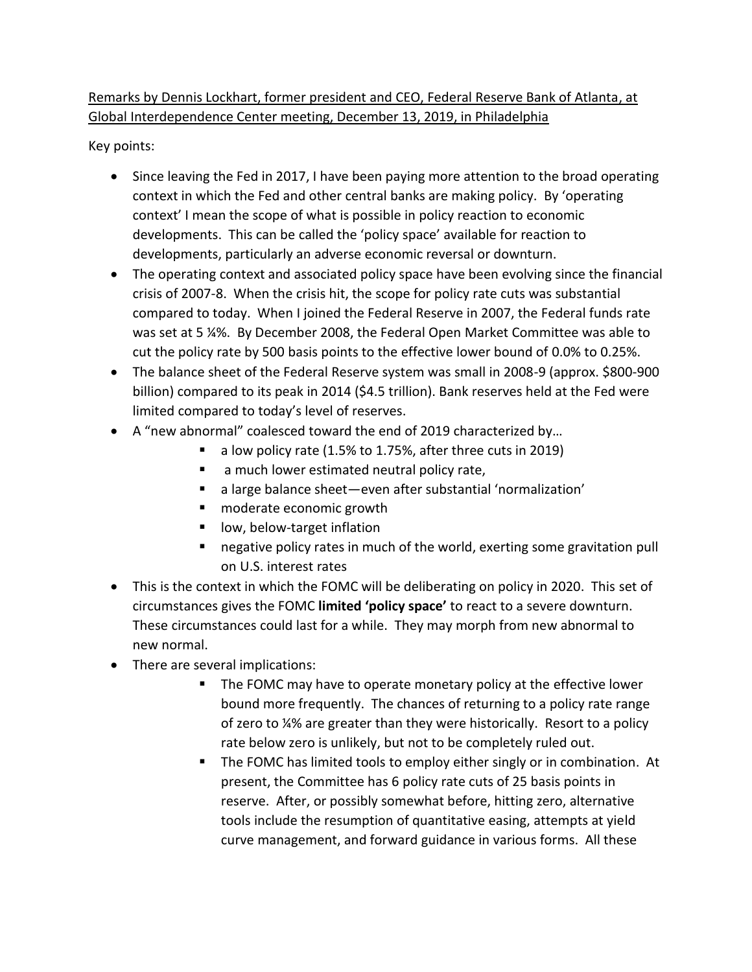## Remarks by Dennis Lockhart, former president and CEO, Federal Reserve Bank of Atlanta, at Global Interdependence Center meeting, December 13, 2019, in Philadelphia

Key points:

- Since leaving the Fed in 2017, I have been paying more attention to the broad operating context in which the Fed and other central banks are making policy. By 'operating context' I mean the scope of what is possible in policy reaction to economic developments. This can be called the 'policy space' available for reaction to developments, particularly an adverse economic reversal or downturn.
- The operating context and associated policy space have been evolving since the financial crisis of 2007-8. When the crisis hit, the scope for policy rate cuts was substantial compared to today. When I joined the Federal Reserve in 2007, the Federal funds rate was set at 5 ¼%. By December 2008, the Federal Open Market Committee was able to cut the policy rate by 500 basis points to the effective lower bound of 0.0% to 0.25%.
- The balance sheet of the Federal Reserve system was small in 2008-9 (approx. \$800-900 billion) compared to its peak in 2014 (\$4.5 trillion). Bank reserves held at the Fed were limited compared to today's level of reserves.
- A "new abnormal" coalesced toward the end of 2019 characterized by…
	- a low policy rate (1.5% to 1.75%, after three cuts in 2019)
	- **a** much lower estimated neutral policy rate,
	- a large balance sheet—even after substantial 'normalization'
	- moderate economic growth
	- low, below-target inflation
	- negative policy rates in much of the world, exerting some gravitation pull on U.S. interest rates
- This is the context in which the FOMC will be deliberating on policy in 2020. This set of circumstances gives the FOMC **limited 'policy space'** to react to a severe downturn. These circumstances could last for a while. They may morph from new abnormal to new normal.
- There are several implications:
	- The FOMC may have to operate monetary policy at the effective lower bound more frequently. The chances of returning to a policy rate range of zero to ¼% are greater than they were historically. Resort to a policy rate below zero is unlikely, but not to be completely ruled out.
	- The FOMC has limited tools to employ either singly or in combination. At present, the Committee has 6 policy rate cuts of 25 basis points in reserve. After, or possibly somewhat before, hitting zero, alternative tools include the resumption of quantitative easing, attempts at yield curve management, and forward guidance in various forms. All these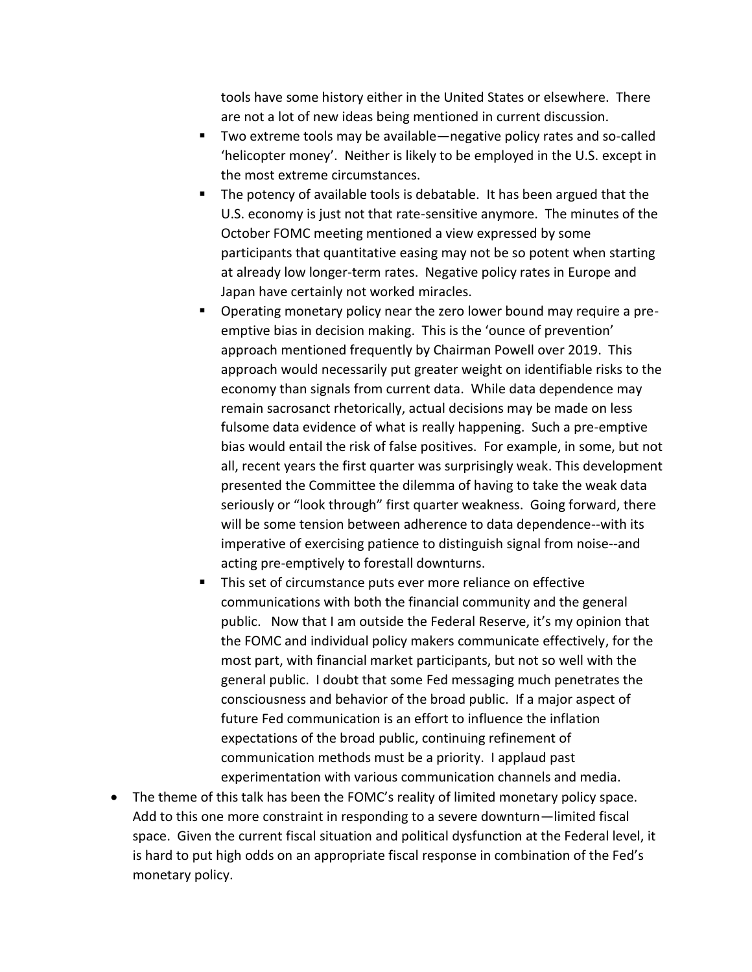tools have some history either in the United States or elsewhere. There are not a lot of new ideas being mentioned in current discussion.

- Two extreme tools may be available—negative policy rates and so-called 'helicopter money'. Neither is likely to be employed in the U.S. except in the most extreme circumstances.
- The potency of available tools is debatable. It has been argued that the U.S. economy is just not that rate-sensitive anymore. The minutes of the October FOMC meeting mentioned a view expressed by some participants that quantitative easing may not be so potent when starting at already low longer-term rates. Negative policy rates in Europe and Japan have certainly not worked miracles.
- Operating monetary policy near the zero lower bound may require a preemptive bias in decision making. This is the 'ounce of prevention' approach mentioned frequently by Chairman Powell over 2019. This approach would necessarily put greater weight on identifiable risks to the economy than signals from current data. While data dependence may remain sacrosanct rhetorically, actual decisions may be made on less fulsome data evidence of what is really happening. Such a pre-emptive bias would entail the risk of false positives. For example, in some, but not all, recent years the first quarter was surprisingly weak. This development presented the Committee the dilemma of having to take the weak data seriously or "look through" first quarter weakness. Going forward, there will be some tension between adherence to data dependence--with its imperative of exercising patience to distinguish signal from noise--and acting pre-emptively to forestall downturns.
- This set of circumstance puts ever more reliance on effective communications with both the financial community and the general public. Now that I am outside the Federal Reserve, it's my opinion that the FOMC and individual policy makers communicate effectively, for the most part, with financial market participants, but not so well with the general public. I doubt that some Fed messaging much penetrates the consciousness and behavior of the broad public. If a major aspect of future Fed communication is an effort to influence the inflation expectations of the broad public, continuing refinement of communication methods must be a priority. I applaud past experimentation with various communication channels and media.
- The theme of this talk has been the FOMC's reality of limited monetary policy space. Add to this one more constraint in responding to a severe downturn—limited fiscal space. Given the current fiscal situation and political dysfunction at the Federal level, it is hard to put high odds on an appropriate fiscal response in combination of the Fed's monetary policy.